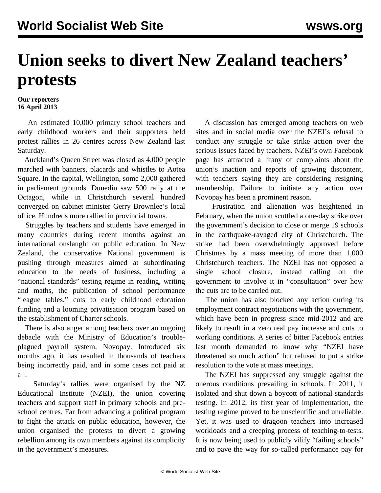## **Union seeks to divert New Zealand teachers' protests**

## **Our reporters 16 April 2013**

 An estimated 10,000 primary school teachers and early childhood workers and their supporters held protest rallies in 26 centres across New Zealand last Saturday.

 Auckland's Queen Street was closed as 4,000 people marched with banners, placards and whistles to Aotea Square. In the capital, Wellington, some 2,000 gathered in parliament grounds. Dunedin saw 500 rally at the Octagon, while in Christchurch several hundred converged on cabinet minister Gerry Brownlee's local office. Hundreds more rallied in provincial towns.

 Struggles by teachers and students have emerged in many countries during recent months against an international onslaught on public education. In New Zealand, the conservative National government is pushing through measures aimed at subordinating education to the needs of business, including a "national standards" testing regime in reading, writing and maths, the publication of school performance "league tables," cuts to early childhood education funding and a looming privatisation program based on the establishment of Charter schools.

 There is also anger among teachers over an ongoing debacle with the Ministry of Education's troubleplagued payroll system, Novopay. Introduced six months ago, it has resulted in thousands of teachers being incorrectly paid, and in some cases not paid at all.

 Saturday's rallies were organised by the NZ Educational Institute (NZEI), the union covering teachers and support staff in primary schools and preschool centres. Far from advancing a political program to fight the attack on public education, however, the union organised the protests to divert a growing rebellion among its own members against its complicity in the government's measures.

 A discussion has emerged among teachers on web sites and in social media over the NZEI's refusal to conduct any struggle or take strike action over the serious issues faced by teachers. NZEI's own Facebook page has attracted a litany of complaints about the union's inaction and reports of growing discontent, with teachers saying they are considering resigning membership. Failure to initiate any action over Novopay has been a prominent reason.

 Frustration and alienation was heightened in February, when the union scuttled a one-day strike over the government's decision to close or merge 19 schools in the earthquake-ravaged city of Christchurch. The strike had been overwhelmingly approved before Christmas by a mass meeting of more than 1,000 Christchurch teachers. The NZEI has not opposed a single school closure, instead calling on the government to involve it in "consultation" over how the cuts are to be carried out.

 The union has also blocked any action during its employment contract negotiations with the government, which have been in progress since mid-2012 and are likely to result in a zero real pay increase and cuts to working conditions. A series of bitter Facebook entries last month demanded to know why "NZEI have threatened so much action" but refused to put a strike resolution to the vote at mass meetings.

 The NZEI has suppressed any struggle against the onerous conditions prevailing in schools. In 2011, it isolated and shut down a boycott of national standards testing. In 2012, its first year of implementation, the testing regime proved to be unscientific and unreliable. Yet, it was used to dragoon teachers into increased workloads and a creeping process of teaching-to-tests. It is now being used to publicly vilify "failing schools" and to pave the way for so-called performance pay for